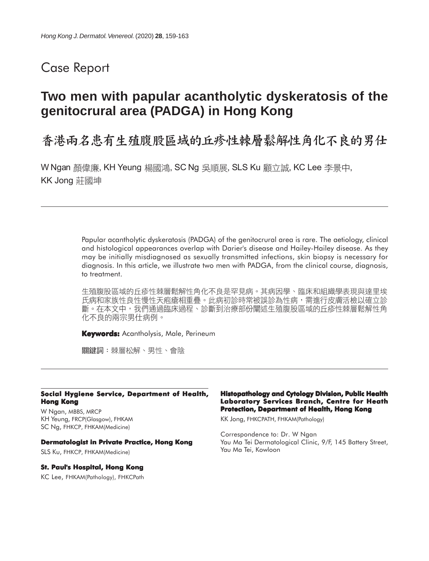# Case Report

# **Two men with papular acantholytic dyskeratosis of the genitocrural area (PADGA) in Hong Kong**

# 香港兩名患有生殖腹股區域的丘疹性棘層鬆解性角化不良的男仕

W Ngan 顏偉廉, KH Yeung 楊國鴻, SC Ng 吳順展, SLS Ku 顧立誠, KC Lee 李景中, KK Jong 莊國坤

> Papular acantholytic dyskeratosis (PADGA) of the genitocrural area is rare. The aetiology, clinical and histological appearances overlap with Darier's disease and Hailey-Hailey disease. As they may be initially misdiagnosed as sexually transmitted infections, skin biopsy is necessary for diagnosis. In this article, we illustrate two men with PADGA, from the clinical course, diagnosis, to treatment.

> 生殖腹股區域的丘疹性棘層鬆解性角化不良是罕見病。其病因學、臨床和組織學表現與達里埃 氏病和家族性良性慢性天疱瘡相重疊。此病初診時常被誤診為性病,需進行皮膚活檢以確立診 斷。在本文中,我們通過臨床過程、診斷到治療部份闡述生殖腹股區域的丘疹性棘層鬆解性角 化不良的兩宗男仕病例。

**Keywords:** Acantholysis, Male, Perineum

關鍵詞:棘層松解、男性、會陰

#### **Social Hygiene Service, Department of Health, Hong Kong**

W Ngan, MBBS, MRCP KH Yeung, FRCP(Glasgow), FHKAM SC Ng, FHKCP, FHKAM(Medicine)

#### **Dermatologist in Private Practice, Hong Kong**

SLS Ku, FHKCP, FHKAM(Medicine)

#### **St. Paul's Hospital, Hong Kong**

KC Lee, FHKAM(Pathology), FHKCPath

#### **Histopathology and Cytology Division, Public Health Laboratory Services Branch, Centre for Heath Protection, Department of Health, Hong Kong**

KK Jong, FHKCPATH, FHKAM(Pathology)

Correspondence to: Dr. W Ngan Yau Ma Tei Dermatological Clinic, 9/F, 145 Battery Street, Yau Ma Tei, Kowloon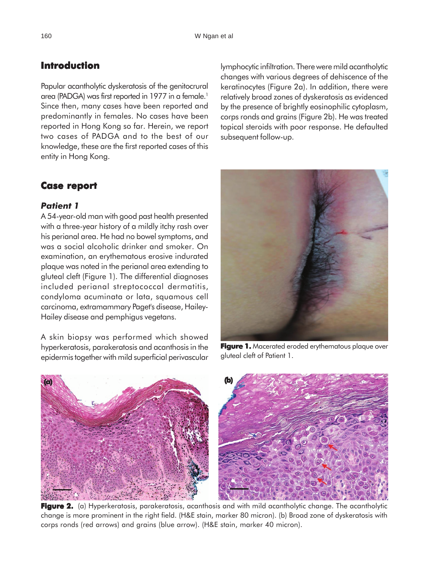## **Introduction**

Papular acantholytic dyskeratosis of the genitocrural area (PADGA) was first reported in 1977 in a female.<sup>1</sup> Since then, many cases have been reported and predominantly in females. No cases have been reported in Hong Kong so far. Herein, we report two cases of PADGA and to the best of our knowledge, these are the first reported cases of this entity in Hong Kong.

### **Case report Case**

### *Patient 1*

A 54-year-old man with good past health presented with a three-year history of a mildly itchy rash over his perianal area. He had no bowel symptoms, and was a social alcoholic drinker and smoker. On examination, an erythematous erosive indurated plaque was noted in the perianal area extending to gluteal cleft (Figure 1). The differential diagnoses included perianal streptococcal dermatitis, condyloma acuminata or lata, squamous cell carcinoma, extramammary Paget's disease, Hailey-Hailey disease and pemphigus vegetans.

A skin biopsy was performed which showed hyperkeratosis, parakeratosis and acanthosis in the epidermis together with mild superficial perivascular

lymphocytic infiltration. There were mild acantholytic changes with various degrees of dehiscence of the keratinocytes (Figure 2a). In addition, there were relatively broad zones of dyskeratosis as evidenced by the presence of brightly eosinophilic cytoplasm, corps ronds and grains (Figure 2b). He was treated topical steroids with poor response. He defaulted subsequent follow-up.



**Figure 1.** Macerated eroded erythematous plaque over gluteal cleft of Patient 1.



**Figure 2.** (a) Hyperkeratosis, parakeratosis, acanthosis and with mild acantholytic change. The acantholytic change is more prominent in the right field. (H&E stain, marker 80 micron). (b) Broad zone of dyskeratosis with corps ronds (red arrows) and grains (blue arrow). (H&E stain, marker 40 micron).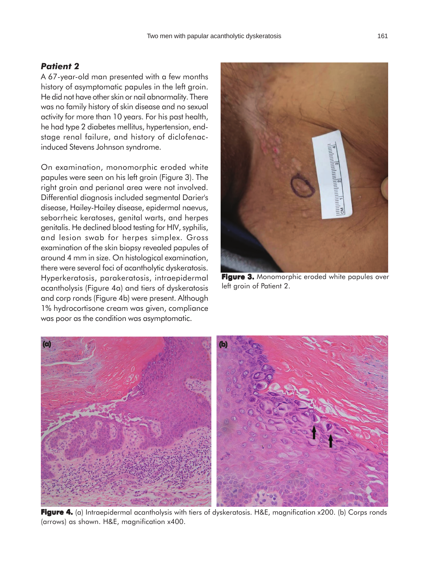### *Patient 2*

A 67-year-old man presented with a few months history of asymptomatic papules in the left groin. He did not have other skin or nail abnormality. There was no family history of skin disease and no sexual activity for more than 10 years. For his past health, he had type 2 diabetes mellitus, hypertension, endstage renal failure, and history of diclofenacinduced Stevens Johnson syndrome.

On examination, monomorphic eroded white papules were seen on his left groin (Figure 3). The right groin and perianal area were not involved. Differential diagnosis included segmental Darier's disease, Hailey-Hailey disease, epidermal naevus, seborrheic keratoses, genital warts, and herpes genitalis. He declined blood testing for HIV, syphilis, and lesion swab for herpes simplex. Gross examination of the skin biopsy revealed papules of around 4 mm in size. On histological examination, there were several foci of acantholytic dyskeratosis. Hyperkeratosis, parakeratosis, intraepidermal acantholysis (Figure 4a) and tiers of dyskeratosis and corp ronds (Figure 4b) were present. Although 1% hydrocortisone cream was given, compliance was poor as the condition was asymptomatic.



**Figure 3. Figure 3.** Monomorphic eroded white papules over left groin of Patient 2.



**Figure 4.** (a) Intraepidermal acantholysis with tiers of dyskeratosis. H&E, magnification x200. (b) Corps ronds (arrows) as shown. H&E, magnification x400.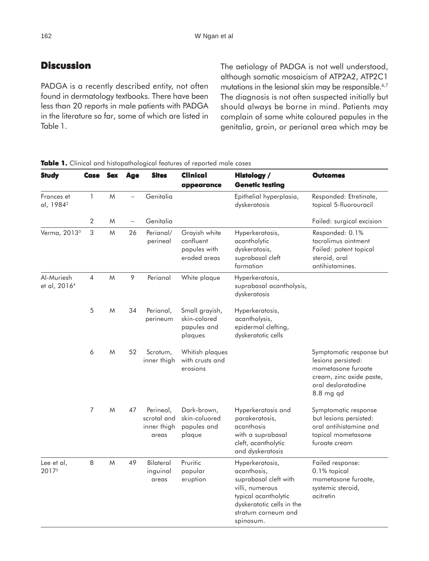## **Discussion**

PADGA is a recently described entity, not often found in dermatology textbooks. There have been less than 20 reports in male patients with PADGA in the literature so far, some of which are listed in Table 1.

The aetiology of PADGA is not well understood, although somatic mosaicism of ATP2A2, ATP2C1 mutations in the lesional skin may be responsible.<sup>6,7</sup> The diagnosis is not often suspected initially but should always be borne in mind. Patients may complain of some white coloured papules in the genitalia, groin, or perianal area which may be

| <b>Study</b>                           | <b>Case</b>    | <b>Sex</b> | Age | <b>Sites</b>                                     | Clinical<br>appearance                                     | <b>Histology /</b><br><b>Genetic testing</b>                                                                                                                        | <b>Outcomes</b>                                                                                                                     |
|----------------------------------------|----------------|------------|-----|--------------------------------------------------|------------------------------------------------------------|---------------------------------------------------------------------------------------------------------------------------------------------------------------------|-------------------------------------------------------------------------------------------------------------------------------------|
| Frances et<br>al, 1984 <sup>2</sup>    | 1              | M          |     | Genitalia                                        |                                                            | Epithelial hyperplasia,<br>dyskeratosis                                                                                                                             | Responded: Etretinate,<br>topical 5-fluorouracil                                                                                    |
|                                        | $\overline{2}$ | M          |     | Genitalia                                        |                                                            |                                                                                                                                                                     | Failed: surgical excision                                                                                                           |
| Verma, 2013 <sup>3</sup>               | $\sqrt{3}$     | M          | 26  | Perianal/<br>perineal                            | Grayish white<br>confluent<br>papules with<br>eroded areas | Hyperkeratosis,<br>acantholytic<br>dyskeratosis,<br>suprabasal cleft<br>formation                                                                                   | Responded: 0.1%<br>tacrolimus ointment<br>Failed: potent topical<br>steroid, oral<br>antihistamines.                                |
| Al-Muriesh<br>et al, 2016 <sup>4</sup> | 4              | M          | 9   | Perianal                                         | White plaque                                               | Hyperkeratosis,<br>suprabasal acantholysis,<br>dyskeratosis                                                                                                         |                                                                                                                                     |
|                                        | 5              | M          | 34  | Perianal,<br>perineum                            | Small grayish,<br>skin-colored<br>papules and<br>plaques   | Hyperkeratosis,<br>acantholysis,<br>epidermal clefting,<br>dyskeratotic cells                                                                                       |                                                                                                                                     |
|                                        | 6              | M          | 52  | Scrotum,<br>inner thigh                          | Whitish plaques<br>with crusts and<br>erosions             |                                                                                                                                                                     | Symptomatic response but<br>lesions persisted:<br>mometasone furoate<br>cream, zinc oxide paste,<br>oral desloratadine<br>8.8 mg qd |
|                                        | $\overline{7}$ | M          | 47  | Perineal,<br>scrotal and<br>inner thigh<br>areas | Dark-brown,<br>skin-coluored<br>papules and<br>plaque      | Hyperkeratosis and<br>parakeratosis,<br>acanthosis<br>with a suprabasal<br>cleft, acantholytic<br>and dyskeratosis                                                  | Symptomatic response<br>but lesions persisted:<br>oral antihistamine and<br>topical mometasone<br>furoate cream                     |
| Lee et al,<br>20175                    | 8              | M          | 49  | <b>Bilateral</b><br>inguinal<br>areas            | Pruritic<br>papular<br>eruption                            | Hyperkeratosis,<br>acanthosis,<br>suprabasal cleft with<br>villi, numerous<br>typical acantholytic<br>dyskeratotic cells in the<br>stratum corneum and<br>spinosum. | Failed response:<br>0.1% topical<br>mometasone furoate,<br>systemic steroid,<br>acitretin                                           |

**Table 1.** Clinical and histopathological features of reported male cases